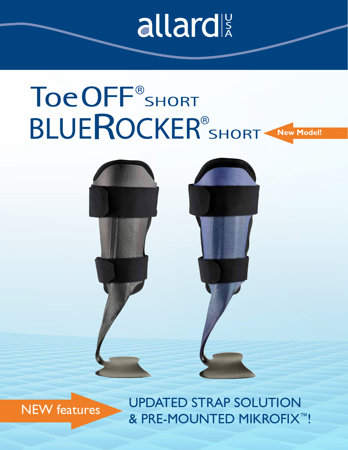# allard

## Toe OFF<sup>®</sup>SHORT **BLUEROCKER®SHORT-New Model!**



### NEW features

UPDATED STRAP SOLUTION & PRE-MOUNTED MIKROFIX™!